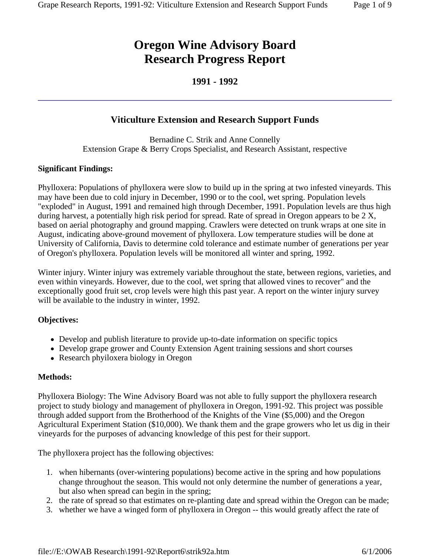# **Oregon Wine Advisory Board Research Progress Report**

# **1991 - 1992**

# **Viticulture Extension and Research Support Funds**

Bernadine C. Strik and Anne Connelly Extension Grape & Berry Crops Specialist, and Research Assistant, respective

#### **Significant Findings:**

Phylloxera: Populations of phylloxera were slow to build up in the spring at two infested vineyards. This may have been due to cold injury in December, 1990 or to the cool, wet spring. Population levels "exploded" in August, 1991 and remained high through December, 1991. Population levels are thus high during harvest, a potentially high risk period for spread. Rate of spread in Oregon appears to be 2 X, based on aerial photography and ground mapping. Crawlers were detected on trunk wraps at one site in August, indicating above-ground movement of phylloxera. Low temperature studies will be done at University of California, Davis to determine cold tolerance and estimate number of generations per year of Oregon's phylloxera. Population levels will be monitored all winter and spring, 1992.

Winter injury. Winter injury was extremely variable throughout the state, between regions, varieties, and even within vineyards. However, due to the cool, wet spring that allowed vines to recover" and the exceptionally good fruit set, crop levels were high this past year. A report on the winter injury survey will be available to the industry in winter, 1992.

### **Objectives:**

- Develop and publish literature to provide up-to-date information on specific topics
- Develop grape grower and County Extension Agent training sessions and short courses
- Research phyiloxera biology in Oregon

#### **Methods:**

Phylloxera Biology: The Wine Advisory Board was not able to fully support the phylloxera research project to study biology and management of phylloxera in Oregon, 1991-92. This project was possible through added support from the Brotherhood of the Knights of the Vine (\$5,000) and the Oregon Agricultural Experiment Station (\$10,000). We thank them and the grape growers who let us dig in their vineyards for the purposes of advancing knowledge of this pest for their support.

The phylloxera project has the following objectives:

- 1. when hibernants (over-wintering populations) become active in the spring and how populations change throughout the season. This would not only determine the number of generations a year, but also when spread can begin in the spring;
- 2. the rate of spread so that estimates on re-planting date and spread within the Oregon can be made;
- 3. whether we have a winged form of phylloxera in Oregon -- this would greatly affect the rate of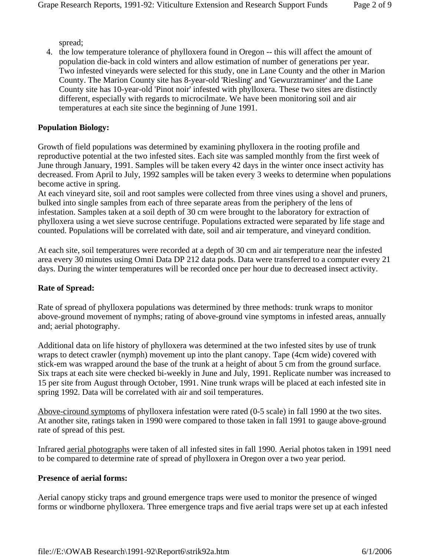spread;

4. the low temperature tolerance of phylloxera found in Oregon -- this will affect the amount of population die-back in cold winters and allow estimation of number of generations per year. Two infested vineyards were selected for this study, one in Lane County and the other in Marion County. The Marion County site has 8-year-old 'Riesling' and 'Gewurztraminer' and the Lane County site has 10-year-old 'Pinot noir' infested with phylloxera. These two sites are distinctly different, especially with regards to microcilmate. We have been monitoring soil and air temperatures at each site since the beginning of June 1991.

#### **Population Biology:**

Growth of field populations was determined by examining phylloxera in the rooting profile and reproductive potential at the two infested sites. Each site was sampled monthly from the first week of June through January, 1991. Samples will be taken every 42 days in the winter once insect activity has decreased. From April to July, 1992 samples will be taken every 3 weeks to determine when populations become active in spring.

At each vineyard site, soil and root samples were collected from three vines using a shovel and pruners, bulked into single samples from each of three separate areas from the periphery of the lens of infestation. Samples taken at a soil depth of 30 cm were brought to the laboratory for extraction of phylloxera using a wet sieve sucrose centrifuge. Populations extracted were separated by life stage and counted. Populations will be correlated with date, soil and air temperature, and vineyard condition.

At each site, soil temperatures were recorded at a depth of 30 cm and air temperature near the infested area every 30 minutes using Omni Data DP 212 data pods. Data were transferred to a computer every 21 days. During the winter temperatures will be recorded once per hour due to decreased insect activity.

#### **Rate of Spread:**

Rate of spread of phylloxera populations was determined by three methods: trunk wraps to monitor above-ground movement of nymphs; rating of above-ground vine symptoms in infested areas, annually and; aerial photography.

Additional data on life history of phylloxera was determined at the two infested sites by use of trunk wraps to detect crawler (nymph) movement up into the plant canopy. Tape (4cm wide) covered with stick-em was wrapped around the base of the trunk at a height of about 5 cm from the ground surface. Six traps at each site were checked bi-weekly in June and July, 1991. Replicate number was increased to 15 per site from August through October, 1991. Nine trunk wraps will be placed at each infested site in spring 1992. Data will be correlated with air and soil temperatures.

Above-ciround symptoms of phylloxera infestation were rated (0-5 scale) in fall 1990 at the two sites. At another site, ratings taken in 1990 were compared to those taken in fall 1991 to gauge above-ground rate of spread of this pest.

Infrared aerial photographs were taken of all infested sites in fall 1990. Aerial photos taken in 1991 need to be compared to determine rate of spread of phylloxera in Oregon over a two year period.

#### **Presence of aerial forms:**

Aerial canopy sticky traps and ground emergence traps were used to monitor the presence of winged forms or windborne phylloxera. Three emergence traps and five aerial traps were set up at each infested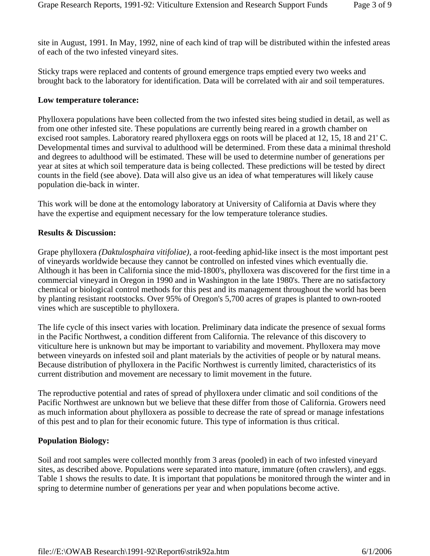site in August, 1991. In May, 1992, nine of each kind of trap will be distributed within the infested areas of each of the two infested vineyard sites.

Sticky traps were replaced and contents of ground emergence traps emptied every two weeks and brought back to the laboratory for identification. Data will be correlated with air and soil temperatures.

#### **Low temperature tolerance:**

Phylloxera populations have been collected from the two infested sites being studied in detail, as well as from one other infested site. These populations are currently being reared in a growth chamber on excised root samples. Laboratory reared phylloxera eggs on roots will be placed at 12, 15, 18 and 21' C. Developmental times and survival to adulthood will be determined. From these data a minimal threshold and degrees to adulthood will be estimated. These will be used to determine number of generations per year at sites at which soil temperature data is being collected. These predictions will be tested by direct counts in the field (see above). Data will also give us an idea of what temperatures will likely cause population die-back in winter.

This work will be done at the entomology laboratory at University of California at Davis where they have the expertise and equipment necessary for the low temperature tolerance studies.

#### **Results & Discussion:**

Grape phylloxera *(Daktulosphaira vitifoliae)*, a root-feeding aphid-like insect is the most important pest of vineyards worldwide because they cannot be controlled on infested vines which eventually die. Although it has been in California since the mid-1800's, phylloxera was discovered for the first time in a commercial vineyard in Oregon in 1990 and in Washington in the late 1980's. There are no satisfactory chemical or biological control methods for this pest and its management throughout the world has been by planting resistant rootstocks. Over 95% of Oregon's 5,700 acres of grapes is planted to own-rooted vines which are susceptible to phylloxera.

The life cycle of this insect varies with location. Preliminary data indicate the presence of sexual forms in the Pacific Northwest, a condition different from California. The relevance of this discovery to viticulture here is unknown but may be important to variability and movement. Phylloxera may move between vineyards on infested soil and plant materials by the activities of people or by natural means. Because distribution of phylloxera in the Pacific Northwest is currently limited, characteristics of its current distribution and movement are necessary to limit movement in the future.

The reproductive potential and rates of spread of phylloxera under climatic and soil conditions of the Pacific Northwest are unknown but we believe that these differ from those of California. Growers need as much information about phylloxera as possible to decrease the rate of spread or manage infestations of this pest and to plan for their economic future. This type of information is thus critical.

#### **Population Biology:**

Soil and root samples were collected monthly from 3 areas (pooled) in each of two infested vineyard sites, as described above. Populations were separated into mature, immature (often crawlers), and eggs. Table 1 shows the results to date. It is important that populations be monitored through the winter and in spring to determine number of generations per year and when populations become active.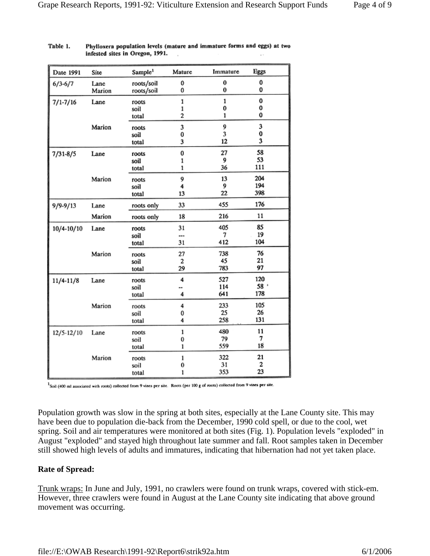| Date 1991      | Site   | Sample <sup>1</sup> | Mature         | Immature | Eggs         |
|----------------|--------|---------------------|----------------|----------|--------------|
| $6/3 - 6/7$    | Lane   | roots/soil          | 0              | $\bf{0}$ | 0            |
|                | Marion | roots/soil          | 0              | 0        | 0            |
| $7/1 - 7/16$   | Lane   | roots               | 1              | 1        | 0            |
|                |        | soil                | 1              | 0        | 0            |
|                |        | total               | $\overline{c}$ | 1        | 0            |
|                | Marion | roots               | 3              | 9        | 3            |
|                |        | soil                | 0              | 3        | 0            |
|                |        | total               | 3              | 12       | 3            |
| $7/31 - 8/5$   | Lane   | roots               | 0              | 27       | 58           |
|                |        | soil                | 1              | 9        | 53           |
|                |        | total               | 1              | 36       | 111          |
|                | Marion | roots               | 9              | 13       | 204          |
|                |        | soil                | 4              | 9        | 194          |
|                |        | total               | 13             | 22       | 398          |
| $9/9 - 9/13$   | Lanc   | roots only          | 33             | 455      | 176          |
|                | Marion | roots only          | 18             | 216      | 11           |
| 10/4-10/10     | Lane   | roots               | 31             | 405      | 85           |
|                |        | soil                |                | 7        | 19           |
|                |        | total               | 31             | 412      | 104          |
|                | Marion | roots               | 27             | 738      | 76           |
|                |        | soil                | 2              | 45       | 21           |
|                |        | total               | 29             | 783      | 97           |
| $11/4 - 11/8$  | Lane   | roots               | 4              | 527      | 120          |
|                |        | soil                |                | 114      | 58'          |
|                |        | total               | 4              | 641      | 178          |
|                | Marion | roots               | 4              | 233      | 105          |
|                |        | soil                | 0              | 25       | 26           |
|                |        | total               | 4              | 258      | 131          |
| $12/5 - 12/10$ | Lane   | roots               | 1              | 480      | 11           |
|                |        | soil                | 0              | 79       | 7            |
|                |        | total               | 1              | 559      | 18           |
|                | Marion | roots               | 1              | 322      | 21           |
|                |        | soil                | 0              | 31       | $\mathbf{z}$ |
|                |        | total               | ı              | 353      | 23           |

Table 1. Phylloxera population levels (mature and immature forms and eggs) at two infested sites in Oregon, 1991.

<sup>1</sup>Soil (400 ml associated with roots) collected from 9 vines per site. Roots (per 100 g of roots) collected from 9 vines per site.

Population growth was slow in the spring at both sites, especially at the Lane County site. This may have been due to population die-back from the December, 1990 cold spell, or due to the cool, wet spring. Soil and air temperatures were monitored at both sites (Fig. 1). Population levels "exploded" in August "exploded" and stayed high throughout late summer and fall. Root samples taken in December still showed high levels of adults and immatures, indicating that hibernation had not yet taken place.

#### **Rate of Spread:**

Trunk wraps: In June and July, 1991, no crawlers were found on trunk wraps, covered with stick-em. However, three crawlers were found in August at the Lane County site indicating that above ground movement was occurring.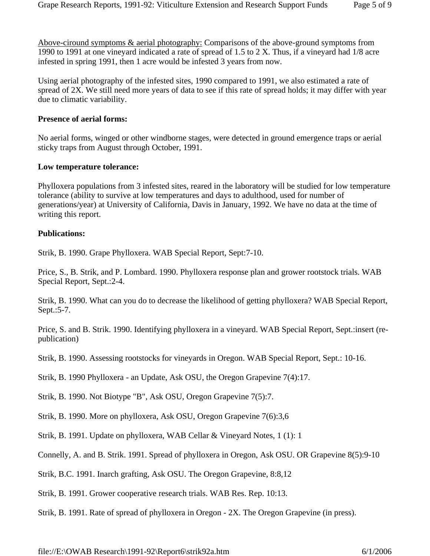Above-ciround symptoms & aerial photography: Comparisons of the above-ground symptoms from 1990 to 1991 at one vineyard indicated a rate of spread of 1.5 to 2 X. Thus, if a vineyard had 1/8 acre infested in spring 1991, then 1 acre would be infested 3 years from now.

Using aerial photography of the infested sites, 1990 compared to 1991, we also estimated a rate of spread of 2X. We still need more years of data to see if this rate of spread holds; it may differ with year due to climatic variability.

#### **Presence of aerial forms:**

No aerial forms, winged or other windborne stages, were detected in ground emergence traps or aerial sticky traps from August through October, 1991.

#### **Low temperature tolerance:**

Phylloxera populations from 3 infested sites, reared in the laboratory will be studied for low temperature tolerance (ability to survive at low temperatures and days to adulthood, used for number of generations/year) at University of California, Davis in January, 1992. We have no data at the time of writing this report.

#### **Publications:**

Strik, B. 1990. Grape Phylloxera. WAB Special Report, Sept:7-10.

Price, S., B. Strik, and P. Lombard. 1990. Phylloxera response plan and grower rootstock trials. WAB Special Report, Sept.:2-4.

Strik, B. 1990. What can you do to decrease the likelihood of getting phylloxera? WAB Special Report, Sept.:5-7.

Price, S. and B. Strik. 1990. Identifying phylloxera in a vineyard. WAB Special Report, Sept.:insert (republication)

Strik, B. 1990. Assessing rootstocks for vineyards in Oregon. WAB Special Report, Sept.: 10-16.

Strik, B. 1990 Phylloxera - an Update, Ask OSU, the Oregon Grapevine 7(4):17.

Strik, B. 1990. Not Biotype "B", Ask OSU, Oregon Grapevine 7(5):7.

Strik, B. 1990. More on phylloxera, Ask OSU, Oregon Grapevine 7(6):3,6

Strik, B. 1991. Update on phylloxera, WAB Cellar & Vineyard Notes, 1 (1): 1

Connelly, A. and B. Strik. 1991. Spread of phylloxera in Oregon, Ask OSU. OR Grapevine 8(5):9-10

Strik, B.C. 1991. Inarch grafting, Ask OSU. The Oregon Grapevine, 8:8,12

Strik, B. 1991. Grower cooperative research trials. WAB Res. Rep. 10:13.

Strik, B. 1991. Rate of spread of phylloxera in Oregon - 2X. The Oregon Grapevine (in press).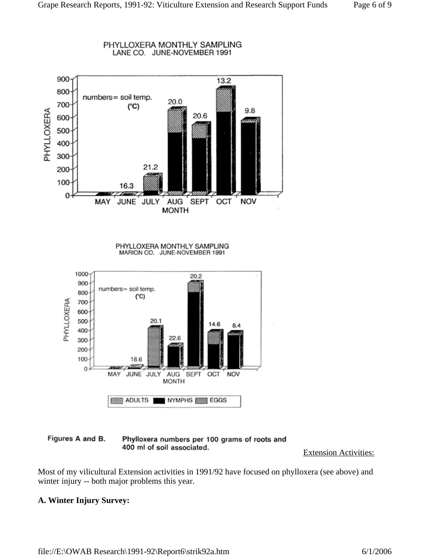

#### Figures A and B. Phylloxera numbers per 100 grams of roots and 400 ml of soil associated.

Extension Activities:

Most of my vilicultural Extension activities in 1991/92 have focused on phylloxera (see above) and winter injury -- both major problems this year.

#### **A. Winter Injury Survey:**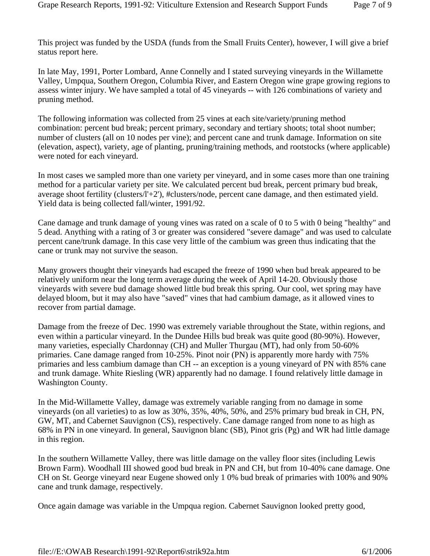This project was funded by the USDA (funds from the Small Fruits Center), however, I will give a brief status report here.

In late May, 1991, Porter Lombard, Anne Connelly and I stated surveying vineyards in the Willamette Valley, Umpqua, Southern Oregon, Columbia River, and Eastern Oregon wine grape growing regions to assess winter injury. We have sampled a total of 45 vineyards -- with 126 combinations of variety and pruning method.

The following information was collected from 25 vines at each site/variety/pruning method combination: percent bud break; percent primary, secondary and tertiary shoots; total shoot number; number of clusters (all on 10 nodes per vine); and percent cane and trunk damage. Information on site (elevation, aspect), variety, age of planting, pruning/training methods, and rootstocks (where applicable) were noted for each vineyard.

In most cases we sampled more than one variety per vineyard, and in some cases more than one training method for a particular variety per site. We calculated percent bud break, percent primary bud break, average shoot fertility (clusters/l'+2'), #clusters/node, percent cane damage, and then estimated yield. Yield data is being collected fall/winter, 1991/92.

Cane damage and trunk damage of young vines was rated on a scale of 0 to 5 with 0 being "healthy" and 5 dead. Anything with a rating of 3 or greater was considered "severe damage" and was used to calculate percent cane/trunk damage. In this case very little of the cambium was green thus indicating that the cane or trunk may not survive the season.

Many growers thought their vineyards had escaped the freeze of 1990 when bud break appeared to be relatively uniform near the long term average during the week of April 14-20. Obviously those vineyards with severe bud damage showed little bud break this spring. Our cool, wet spring may have delayed bloom, but it may also have "saved" vines that had cambium damage, as it allowed vines to recover from partial damage.

Damage from the freeze of Dec. 1990 was extremely variable throughout the State, within regions, and even within a particular vineyard. In the Dundee Hills bud break was quite good (80-90%). However, many varieties, especially Chardonnay (CH) and Muller Thurgau (MT), had only from 50-60% primaries. Cane damage ranged from 10-25%. Pinot noir (PN) is apparently more hardy with 75% primaries and less cambium damage than CH -- an exception is a young vineyard of PN with 85% cane and trunk damage. White Riesling (WR) apparently had no damage. I found relatively little damage in Washington County.

In the Mid-Willamette Valley, damage was extremely variable ranging from no damage in some vineyards (on all varieties) to as low as 30%, 35%, 40%, 50%, and 25% primary bud break in CH, PN, GW, MT, and Cabernet Sauvignon (CS), respectively. Cane damage ranged from none to as high as 68% in PN in one vineyard. In general, Sauvignon blanc (SB), Pinot gris (Pg) and WR had little damage in this region.

In the southern Willamette Valley, there was little damage on the valley floor sites (including Lewis Brown Farm). Woodhall III showed good bud break in PN and CH, but from 10-40% cane damage. One CH on St. George vineyard near Eugene showed only 1 0% bud break of primaries with 100% and 90% cane and trunk damage, respectively.

Once again damage was variable in the Umpqua region. Cabernet Sauvignon looked pretty good,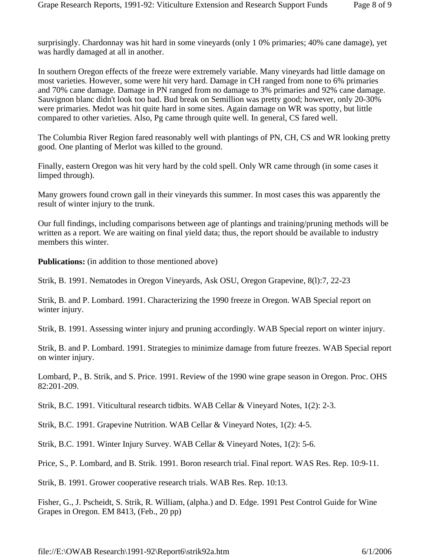surprisingly. Chardonnay was hit hard in some vineyards (only 1 0% primaries; 40% cane damage), yet was hardly damaged at all in another.

In southern Oregon effects of the freeze were extremely variable. Many vineyards had little damage on most varieties. However, some were hit very hard. Damage in CH ranged from none to 6% primaries and 70% cane damage. Damage in PN ranged from no damage to 3% primaries and 92% cane damage. Sauvignon blanc didn't look too bad. Bud break on Semillion was pretty good; however, only 20-30% were primaries. Medot was hit quite hard in some sites. Again damage on WR was spotty, but little compared to other varieties. Also, Pg came through quite well. In general, CS fared well.

The Columbia River Region fared reasonably well with plantings of PN, CH, CS and WR looking pretty good. One planting of Merlot was killed to the ground.

Finally, eastern Oregon was hit very hard by the cold spell. Only WR came through (in some cases it limped through).

Many growers found crown gall in their vineyards this summer. In most cases this was apparently the result of winter injury to the trunk.

Our full findings, including comparisons between age of plantings and training/pruning methods will be written as a report. We are waiting on final yield data; thus, the report should be available to industry members this winter.

**Publications:** (in addition to those mentioned above)

Strik, B. 1991. Nematodes in Oregon Vineyards, Ask OSU, Oregon Grapevine, 8(l):7, 22-23

Strik, B. and P. Lombard. 1991. Characterizing the 1990 freeze in Oregon. WAB Special report on winter injury.

Strik, B. 1991. Assessing winter injury and pruning accordingly. WAB Special report on winter injury.

Strik, B. and P. Lombard. 1991. Strategies to minimize damage from future freezes. WAB Special report on winter injury.

Lombard, P., B. Strik, and S. Price. 1991. Review of the 1990 wine grape season in Oregon. Proc. OHS 82:201-209.

Strik, B.C. 1991. Viticultural research tidbits. WAB Cellar & Vineyard Notes, 1(2): 2-3.

Strik, B.C. 1991. Grapevine Nutrition. WAB Cellar & Vineyard Notes, 1(2): 4-5.

Strik, B.C. 1991. Winter Injury Survey. WAB Cellar & Vineyard Notes, 1(2): 5-6.

Price, S., P. Lombard, and B. Strik. 1991. Boron research trial. Final report. WAS Res. Rep. 10:9-11.

Strik, B. 1991. Grower cooperative research trials. WAB Res. Rep. 10:13.

Fisher, G., J. Pscheidt, S. Strik, R. William, (alpha.) and D. Edge. 1991 Pest Control Guide for Wine Grapes in Oregon. EM 8413, (Feb., 20 pp)